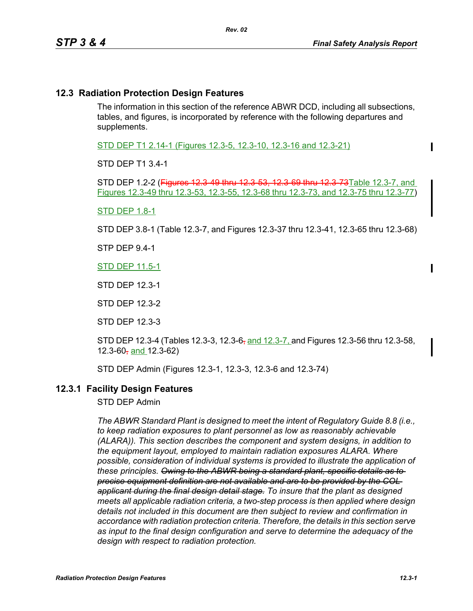## **12.3 Radiation Protection Design Features**

The information in this section of the reference ABWR DCD, including all subsections, tables, and figures, is incorporated by reference with the following departures and supplements.

STD DEP T1 2.14-1 (Figures 12.3-5, 12.3-10, 12.3-16 and 12.3-21)

STD DEP T1 3.4-1

STD DEP 1.2-2 (Figures 12.3-49 thru 12.3-53, 12.3-69 thru 12.3-73Table 12.3-7, and Figures 12.3-49 thru 12.3-53, 12.3-55, 12.3-68 thru 12.3-73, and 12.3-75 thru 12.3-77)

#### STD DEP 1.8-1

STD DEP 3.8-1 (Table 12.3-7, and Figures 12.3-37 thru 12.3-41, 12.3-65 thru 12.3-68)

STP DEP 9.4-1

STD DEP 11.5-1

STD DEP 12.3-1

STD DEP 12.3-2

STD DEP 12.3-3

STD DEP 12.3-4 (Tables 12.3-3, 12.3-6, and 12.3-7, and Figures 12.3-56 thru 12.3-58, 12.3-60, and  $12.3 - 62$ )

STD DEP Admin (Figures 12.3-1, 12.3-3, 12.3-6 and 12.3-74)

#### **12.3.1 Facility Design Features**

STD DEP Admin

*The ABWR Standard Plant is designed to meet the intent of Regulatory Guide 8.8 (i.e., to keep radiation exposures to plant personnel as low as reasonably achievable (ALARA)). This section describes the component and system designs, in addition to the equipment layout, employed to maintain radiation exposures ALARA. Where possible, consideration of individual systems is provided to illustrate the application of these principles. Owing to the ABWR being a standard plant, specific details as to precise equipment definition are not available and are to be provided by the COL applicant during the final design detail stage. To insure that the plant as designed meets all applicable radiation criteria, a two-step process is then applied where design details not included in this document are then subject to review and confirmation in accordance with radiation protection criteria. Therefore, the details in this section serve as input to the final design configuration and serve to determine the adequacy of the design with respect to radiation protection.*

Π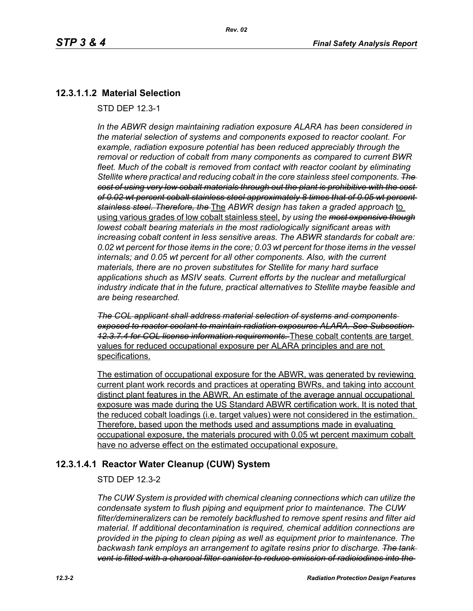## **12.3.1.1.2 Material Selection**

STD DEP 12.3-1

*In the ABWR design maintaining radiation exposure ALARA has been considered in the material selection of systems and components exposed to reactor coolant. For example, radiation exposure potential has been reduced appreciably through the removal or reduction of cobalt from many components as compared to current BWR fleet. Much of the cobalt is removed from contact with reactor coolant by eliminating Stellite where practical and reducing cobalt in the core stainless steel components. The cost of using very low cobalt materials through out the plant is prohibitive with the cost of 0.02 wt percent cobalt stainless steel approximately 8 times that of 0.05 wt percent stainless steel. Therefore, the* The *ABWR design has taken a graded approach* to using various grades of low cobalt stainless steel, *by using the most expensive though lowest cobalt bearing materials in the most radiologically significant areas with increasing cobalt content in less sensitive areas. The ABWR standards for cobalt are: 0.02 wt percent for those items in the core; 0.03 wt percent for those items in the vessel internals; and 0.05 wt percent for all other components. Also, with the current materials, there are no proven substitutes for Stellite for many hard surface applications shuch as MSIV seats. Current efforts by the nuclear and metallurgical industry indicate that in the future, practical alternatives to Stellite maybe feasible and are being researched.*

*The COL applicant shall address material selection of systems and components exposed to reactor coolant to maintain radiation exposures ALARA. See Subsection 12.3.7.4 for COL license information requirements.* These cobalt contents are target values for reduced occupational exposure per ALARA principles and are not specifications.

The estimation of occupational exposure for the ABWR, was generated by reviewing current plant work records and practices at operating BWRs, and taking into account distinct plant features in the ABWR. An estimate of the average annual occupational exposure was made during the US Standard ABWR certification work. It is noted that the reduced cobalt loadings (i.e. target values) were not considered in the estimation. Therefore, based upon the methods used and assumptions made in evaluating occupational exposure, the materials procured with 0.05 wt percent maximum cobalt have no adverse effect on the estimated occupational exposure.

# **12.3.1.4.1 Reactor Water Cleanup (CUW) System**

### STD DEP 12.3-2

*The CUW System is provided with chemical cleaning connections which can utilize the condensate system to flush piping and equipment prior to maintenance. The CUW filter/demineralizers can be remotely backflushed to remove spent resins and filter aid material. If additional decontamination is required, chemical addition connections are provided in the piping to clean piping as well as equipment prior to maintenance. The backwash tank employs an arrangement to agitate resins prior to discharge. The tank vent is fitted with a charcoal filter canister to reduce emission of radioiodines into the*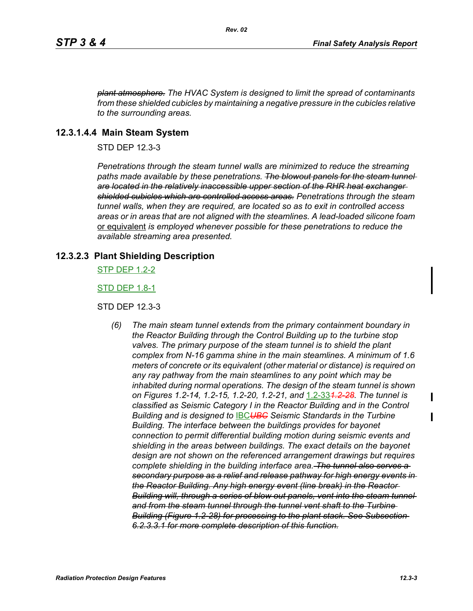*plant atmosphere. The HVAC System is designed to limit the spread of contaminants from these shielded cubicles by maintaining a negative pressure in the cubicles relative to the surrounding areas.*

## **12.3.1.4.4 Main Steam System**

STD DEP 12.3-3

*Penetrations through the steam tunnel walls are minimized to reduce the streaming*  paths made available by these penetrations. The blowout panels for the steam tunnel *are located in the relatively inaccessible upper section of the RHR heat exchanger shielded cubicles which are controlled access areas. Penetrations through the steam tunnel walls, when they are required, are located so as to exit in controlled access areas or in areas that are not aligned with the steamlines. A lead-loaded silicone foam*  or equivalent *is employed whenever possible for these penetrations to reduce the available streaming area presented.*

## **12.3.2.3 Plant Shielding Description**

STP DEP 1.2-2

STD DEP 1.8-1

### STD DEP 12.3-3

*(6) The main steam tunnel extends from the primary containment boundary in the Reactor Building through the Control Building up to the turbine stop valves. The primary purpose of the steam tunnel is to shield the plant complex from N-16 gamma shine in the main steamlines. A minimum of 1.6 meters of concrete or its equivalent (other material or distance) is required on any ray pathway from the main steamlines to any point which may be inhabited during normal operations. The design of the steam tunnel is shown on Figures 1.2-14, 1.2-15, 1.2-20, 1.2-21, and* 1.2-33*1.2-28. The tunnel is classified as Seismic Category I in the Reactor Building and in the Control Building and is designed to* IBC*UBC Seismic Standards in the Turbine Building. The interface between the buildings provides for bayonet connection to permit differential building motion during seismic events and shielding in the areas between buildings. The exact details on the bayonet design are not shown on the referenced arrangement drawings but requires complete shielding in the building interface area. The tunnel also serves a secondary purpose as a relief and release pathway for high energy events in the Reactor Building. Any high energy event (line break) in the Reactor*  **Building will, through a series of blow out panels, vent into the steam tunnel***and from the steam tunnel through the tunnel vent shaft to the Turbine Building (Figure 1.2-28) for processing to the plant stack. See Subsection 6.2.3.3.1 for more complete description of this function.*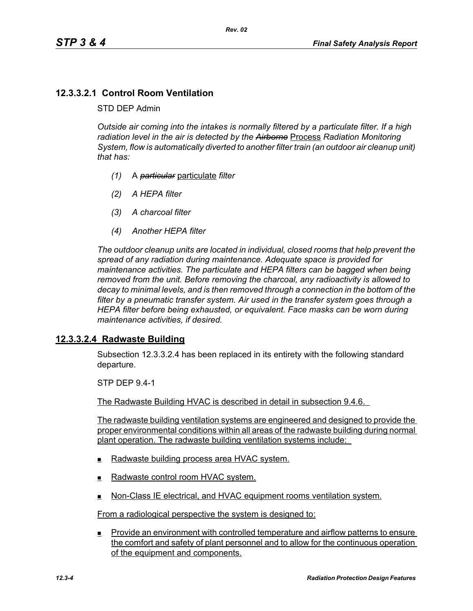## **12.3.3.2.1 Control Room Ventilation**

#### STD DEP Admin

*Outside air coming into the intakes is normally filtered by a particulate filter. If a high radiation level in the air is detected by the Airborne* Process *Radiation Monitoring System, flow is automatically diverted to another filter train (an outdoor air cleanup unit) that has:*

- *(1)* A *particular* particulate *filter*
- *(2) A HEPA filter*
- *(3) A charcoal filter*
- *(4) Another HEPA filter*

*The outdoor cleanup units are located in individual, closed rooms that help prevent the spread of any radiation during maintenance. Adequate space is provided for maintenance activities. The particulate and HEPA filters can be bagged when being removed from the unit. Before removing the charcoal, any radioactivity is allowed to decay to minimal levels, and is then removed through a connection in the bottom of the filter by a pneumatic transfer system. Air used in the transfer system goes through a HEPA filter before being exhausted, or equivalent. Face masks can be worn during maintenance activities, if desired.*

### **12.3.3.2.4 Radwaste Building**

Subsection 12.3.3.2.4 has been replaced in its entirety with the following standard departure.

STP DEP 9.4-1

The Radwaste Building HVAC is described in detail in subsection 9.4.6.

The radwaste building ventilation systems are engineered and designed to provide the proper environmental conditions within all areas of the radwaste building during normal plant operation. The radwaste building ventilation systems include:

- Radwaste building process area HVAC system.
- Radwaste control room HVAC system.
- Non-Class IE electrical, and HVAC equipment rooms ventilation system.

From a radiological perspective the system is designed to:

**Provide an environment with controlled temperature and airflow patterns to ensure** the comfort and safety of plant personnel and to allow for the continuous operation of the equipment and components.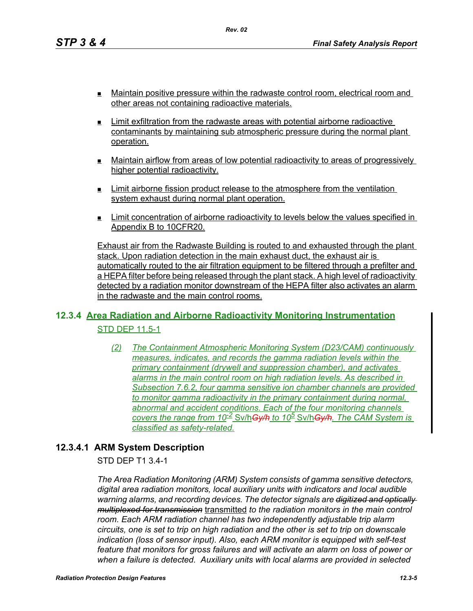- Maintain positive pressure within the radwaste control room, electrical room and other areas not containing radioactive materials.
- $\blacksquare$  Limit exfiltration from the radwaste areas with potential airborne radioactive contaminants by maintaining sub atmospheric pressure during the normal plant operation.
- Maintain airflow from areas of low potential radioactivity to areas of progressively higher potential radioactivity.
- $\blacksquare$  Limit airborne fission product release to the atmosphere from the ventilation system exhaust during normal plant operation.
- Limit concentration of airborne radioactivity to levels below the values specified in Appendix B to 10CFR20.

Exhaust air from the Radwaste Building is routed to and exhausted through the plant stack. Upon radiation detection in the main exhaust duct, the exhaust air is automatically routed to the air filtration equipment to be filtered through a prefilter and a HEPA filter before being released through the plant stack. A high level of radioactivity detected by a radiation monitor downstream of the HEPA filter also activates an alarm in the radwaste and the main control rooms.

# **12.3.4 Area Radiation and Airborne Radioactivity Monitoring Instrumentation** STD DEP 11.5-1

*(2) The Containment Atmospheric Monitoring System (D23/CAM) continuously measures, indicates, and records the gamma radiation levels within the primary containment (drywell and suppression chamber), and activates alarms in the main control room on high radiation levels. As described in Subsection 7.6.2, four gamma sensitive ion chamber channels are provided to monitor gamma radioactivity in the primary containment during normal, abnormal and accident conditions. Each of the four monitoring channels covers the range from 10-2* Sv/h*Gy/h to 10<sup>5</sup>* Sv/h*Gy/h. The CAM System is classified as safety-related.*

# **12.3.4.1 ARM System Description**

STD DEP T1 3.4-1

*The Area Radiation Monitoring (ARM) System consists of gamma sensitive detectors, digital area radiation monitors, local auxiliary units with indicators and local audible warning alarms, and recording devices. The detector signals are digitized and optically multiplexed for transmission* transmitted *to the radiation monitors in the main control room. Each ARM radiation channel has two independently adjustable trip alarm circuits, one is set to trip on high radiation and the other is set to trip on downscale indication (loss of sensor input). Also, each ARM monitor is equipped with self-test feature that monitors for gross failures and will activate an alarm on loss of power or when a failure is detected. Auxiliary units with local alarms are provided in selected*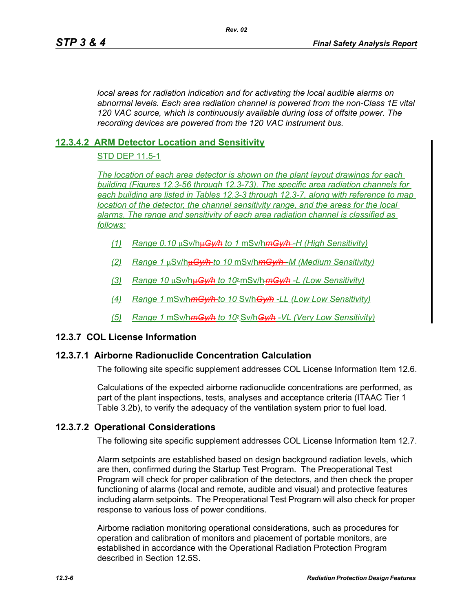*local areas for radiation indication and for activating the local audible alarms on abnormal levels. Each area radiation channel is powered from the non-Class 1E vital 120 VAC source, which is continuously available during loss of offsite power. The recording devices are powered from the 120 VAC instrument bus.*

## **12.3.4.2 ARM Detector Location and Sensitivity**

### STD DEP 11.5-1

*The location of each area detector is shown on the plant layout drawings for each building (Figures 12.3-56 through 12.3-73). The specific area radiation channels for each building are listed in Tables 12.3-3 through 12.3-7, along with reference to map location of the detector, the channel sensitivity range, and the areas for the local alarms. The range and sensitivity of each area radiation channel is classified as follows:*

- *(1) Range 0.10* μSv/hμ*Gy/h to 1* mSv/h*mGy/h -H (High Sensitivity)*
- *(2) Range 1* μSv/hμ*Gy/h to 10* mSv/h*mGy/h -M (Medium Sensitivity)*
- *(3) Range 10* μSv/hμ*Gy/h to 102* mSv/h*mGy/h -L (Low Sensitivity)*
- *(4) Range 1* mSv/h*mGy/h to 10* Sv/h*Gy/h -LL (Low Low Sensitivity)*
- *(5) Range 1* mSv/h*mGy/h to 102* Sv/h*Gy/h -VL (Very Low Sensitivity)*

## **12.3.7 COL License Information**

### **12.3.7.1 Airborne Radionuclide Concentration Calculation**

The following site specific supplement addresses COL License Information Item 12.6.

Calculations of the expected airborne radionuclide concentrations are performed, as part of the plant inspections, tests, analyses and acceptance criteria (ITAAC Tier 1 Table 3.2b), to verify the adequacy of the ventilation system prior to fuel load.

### **12.3.7.2 Operational Considerations**

The following site specific supplement addresses COL License Information Item 12.7.

Alarm setpoints are established based on design background radiation levels, which are then, confirmed during the Startup Test Program. The Preoperational Test Program will check for proper calibration of the detectors, and then check the proper functioning of alarms (local and remote, audible and visual) and protective features including alarm setpoints. The Preoperational Test Program will also check for proper response to various loss of power conditions.

Airborne radiation monitoring operational considerations, such as procedures for operation and calibration of monitors and placement of portable monitors, are established in accordance with the Operational Radiation Protection Program described in Section 12.5S.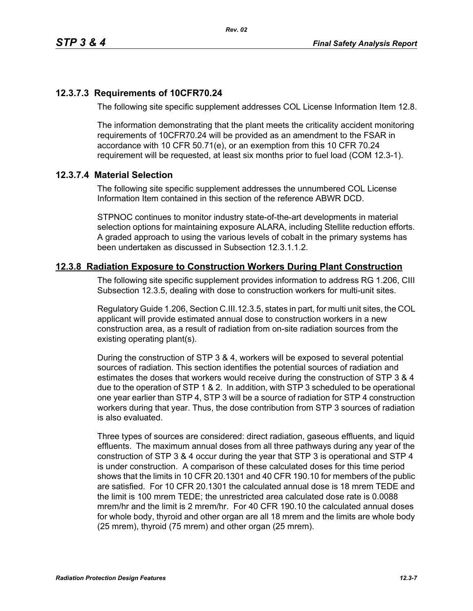### **12.3.7.3 Requirements of 10CFR70.24**

The following site specific supplement addresses COL License Information Item 12.8.

*Rev. 02*

The information demonstrating that the plant meets the criticality accident monitoring requirements of 10CFR70.24 will be provided as an amendment to the FSAR in accordance with 10 CFR 50.71(e), or an exemption from this 10 CFR 70.24 requirement will be requested, at least six months prior to fuel load (COM 12.3-1).

#### **12.3.7.4 Material Selection**

The following site specific supplement addresses the unnumbered COL License Information Item contained in this section of the reference ABWR DCD.

STPNOC continues to monitor industry state-of-the-art developments in material selection options for maintaining exposure ALARA, including Stellite reduction efforts. A graded approach to using the various levels of cobalt in the primary systems has been undertaken as discussed in Subsection 12.3.1.1.2.

### **12.3.8 Radiation Exposure to Construction Workers During Plant Construction**

The following site specific supplement provides information to address RG 1.206, CIII Subsection 12.3.5, dealing with dose to construction workers for multi-unit sites.

Regulatory Guide 1.206, Section C.III.12.3.5, states in part, for multi unit sites, the COL applicant will provide estimated annual dose to construction workers in a new construction area, as a result of radiation from on-site radiation sources from the existing operating plant(s).

During the construction of STP 3 & 4, workers will be exposed to several potential sources of radiation. This section identifies the potential sources of radiation and estimates the doses that workers would receive during the construction of STP 3 & 4 due to the operation of STP 1 & 2. In addition, with STP 3 scheduled to be operational one year earlier than STP 4, STP 3 will be a source of radiation for STP 4 construction workers during that year. Thus, the dose contribution from STP 3 sources of radiation is also evaluated.

Three types of sources are considered: direct radiation, gaseous effluents, and liquid effluents. The maximum annual doses from all three pathways during any year of the construction of STP 3 & 4 occur during the year that STP 3 is operational and STP 4 is under construction. A comparison of these calculated doses for this time period shows that the limits in 10 CFR 20.1301 and 40 CFR 190.10 for members of the public are satisfied. For 10 CFR 20.1301 the calculated annual dose is 18 mrem TEDE and the limit is 100 mrem TEDE; the unrestricted area calculated dose rate is 0.0088 mrem/hr and the limit is 2 mrem/hr. For 40 CFR 190.10 the calculated annual doses for whole body, thyroid and other organ are all 18 mrem and the limits are whole body (25 mrem), thyroid (75 mrem) and other organ (25 mrem).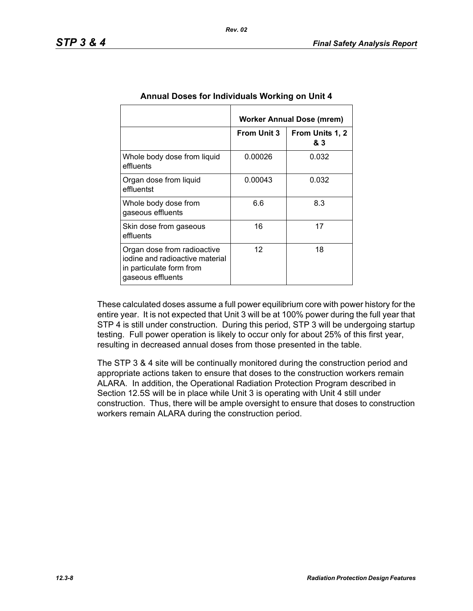|                                                                                                                 | Worker Annual Dose (mrem) |                        |  |
|-----------------------------------------------------------------------------------------------------------------|---------------------------|------------------------|--|
|                                                                                                                 | <b>From Unit 3</b>        | From Units 1, 2<br>& 3 |  |
| Whole body dose from liquid<br>effluents                                                                        | 0.00026                   | 0.032                  |  |
| Organ dose from liquid<br>effluentst                                                                            | 0.00043                   | 0.032                  |  |
| Whole body dose from<br>gaseous effluents                                                                       | 6.6                       | 8.3                    |  |
| Skin dose from gaseous<br>effluents                                                                             | 16                        | 17                     |  |
| Organ dose from radioactive<br>jodine and radioactive material<br>in particulate form from<br>gaseous effluents | $12 \overline{ }$         | 18                     |  |

### **Annual Doses for Individuals Working on Unit 4**

These calculated doses assume a full power equilibrium core with power history for the entire year. It is not expected that Unit 3 will be at 100% power during the full year that STP 4 is still under construction. During this period, STP 3 will be undergoing startup testing. Full power operation is likely to occur only for about 25% of this first year, resulting in decreased annual doses from those presented in the table.

The STP 3 & 4 site will be continually monitored during the construction period and appropriate actions taken to ensure that doses to the construction workers remain ALARA. In addition, the Operational Radiation Protection Program described in Section 12.5S will be in place while Unit 3 is operating with Unit 4 still under construction. Thus, there will be ample oversight to ensure that doses to construction workers remain ALARA during the construction period.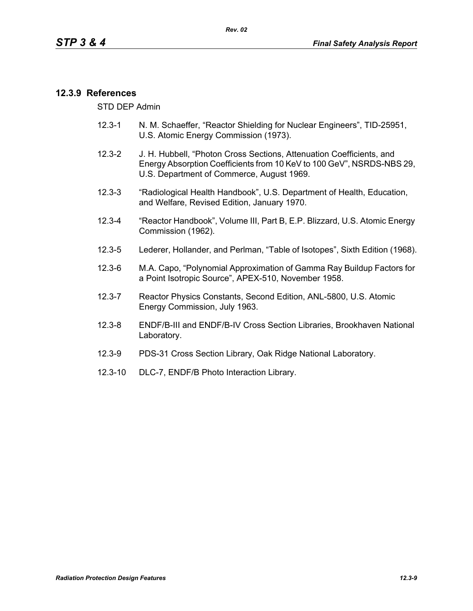## **12.3.9 References**

STD DEP Admin

- 12.3-1 N. M. Schaeffer, "Reactor Shielding for Nuclear Engineers", TID-25951, U.S. Atomic Energy Commission (1973).
- 12.3-2 J. H. Hubbell, "Photon Cross Sections, Attenuation Coefficients, and Energy Absorption Coefficients from 10 KeV to 100 GeV", NSRDS-NBS 29, U.S. Department of Commerce, August 1969.
- 12.3-3 "Radiological Health Handbook", U.S. Department of Health, Education, and Welfare, Revised Edition, January 1970.
- 12.3-4 "Reactor Handbook", Volume III, Part B, E.P. Blizzard, U.S. Atomic Energy Commission (1962).
- 12.3-5 Lederer, Hollander, and Perlman, "Table of Isotopes", Sixth Edition (1968).
- 12.3-6 M.A. Capo, "Polynomial Approximation of Gamma Ray Buildup Factors for a Point Isotropic Source", APEX-510, November 1958.
- 12.3-7 Reactor Physics Constants, Second Edition, ANL-5800, U.S. Atomic Energy Commission, July 1963.
- 12.3-8 ENDF/B-III and ENDF/B-IV Cross Section Libraries, Brookhaven National Laboratory.
- 12.3-9 PDS-31 Cross Section Library, Oak Ridge National Laboratory.
- 12.3-10 DLC-7, ENDF/B Photo Interaction Library.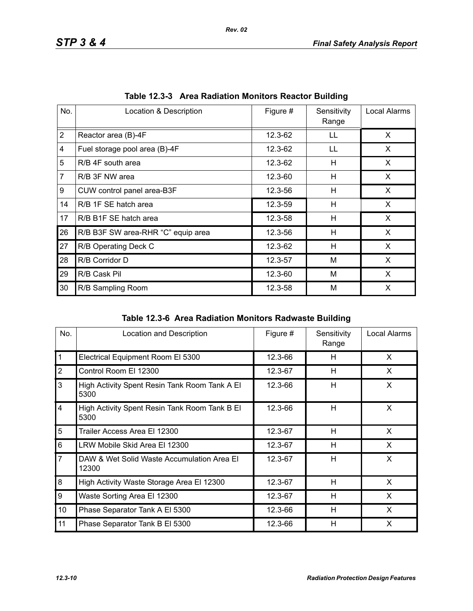| No.            | Location & Description             | Figure # | Sensitivity<br>Range | Local Alarms |
|----------------|------------------------------------|----------|----------------------|--------------|
| $\overline{2}$ | Reactor area (B)-4F                | 12.3-62  | LL                   | X            |
| 4              | Fuel storage pool area (B)-4F      | 12.3-62  | LL                   | X.           |
| 5              | R/B 4F south area                  | 12.3-62  | Н                    | X            |
| $\overline{7}$ | R/B 3F NW area                     | 12.3-60  | H                    | X            |
| 9              | CUW control panel area-B3F         | 12.3-56  | н                    | X            |
| 14             | R/B 1F SE hatch area               | 12.3-59  | Н                    | X            |
| 17             | R/B B1F SE hatch area              | 12.3-58  | $\mathsf{H}$         | X            |
| 26             | R/B B3F SW area-RHR "C" equip area | 12.3-56  | н                    | X            |
| 27             | R/B Operating Deck C               | 12.3-62  | H                    | X            |
| 28             | R/B Corridor D                     | 12.3-57  | M                    | X            |
| 29             | R/B Cask Pil                       | 12.3-60  | M                    | X            |
| 30             | R/B Sampling Room                  | 12.3-58  | M                    | X            |

|  | Table 12.3-3 Area Radiation Monitors Reactor Building |  |  |  |
|--|-------------------------------------------------------|--|--|--|
|--|-------------------------------------------------------|--|--|--|

|  | Table 12.3-6 Area Radiation Monitors Radwaste Building |  |  |  |
|--|--------------------------------------------------------|--|--|--|
|--|--------------------------------------------------------|--|--|--|

| No.            | Location and Description                              | Figure # | Sensitivity<br>Range | Local Alarms |
|----------------|-------------------------------------------------------|----------|----------------------|--------------|
| $\mathbf{1}$   | Electrical Equipment Room El 5300                     | 12.3-66  | H                    | X            |
| $\overline{2}$ | Control Room El 12300                                 | 12.3-67  | H                    | X            |
| 3              | High Activity Spent Resin Tank Room Tank A El<br>5300 | 12.3-66  | H                    | X            |
| $\overline{4}$ | High Activity Spent Resin Tank Room Tank B El<br>5300 | 12.3-66  | H                    | X            |
| 5              | Trailer Access Area El 12300                          | 12.3-67  | H                    | X            |
| 6              | LRW Mobile Skid Area El 12300                         | 12.3-67  | H                    | X            |
| $\overline{7}$ | DAW & Wet Solid Waste Accumulation Area El<br>12300   | 12.3-67  | H                    | X            |
| 8              | High Activity Waste Storage Area El 12300             | 12.3-67  | H                    | X            |
| 9              | Waste Sorting Area El 12300                           | 12.3-67  | H                    | X            |
| 10             | Phase Separator Tank A El 5300                        | 12.3-66  | H                    | X            |
| 11             | Phase Separator Tank B El 5300                        | 12.3-66  | H                    | X            |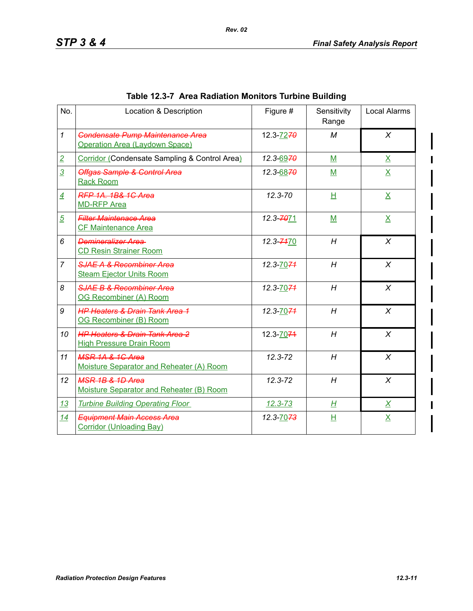| No.            | Location & Description                                                       | Figure #              | Sensitivity<br>Range | Local Alarms            |
|----------------|------------------------------------------------------------------------------|-----------------------|----------------------|-------------------------|
| $\mathcal{I}$  | <b>Condensate Pump Maintenance Area</b><br>Operation Area (Laydown Space)    | 12.3-7270             | M                    | $\chi$                  |
| $\overline{2}$ | Corridor (Condensate Sampling & Control Area)                                | 12.3-6970             | $M$                  | $\overline{\mathsf{X}}$ |
| $\overline{3}$ | <b>Offgas Sample &amp; Control Area</b><br><b>Rack Room</b>                  | 12.3-6870             | M                    | $\overline{\mathsf{X}}$ |
| $\overline{4}$ | <b>RFP 1A, 1B&amp; 1C Area</b><br><b>MD-RFP Area</b>                         | $12.3 - 70$           | H                    | $\underline{X}$         |
| $\overline{5}$ | <b>Filter Maintenace Area</b><br><b>CF Maintenance Area</b>                  | 12.3-7071             | M                    | $\overline{\mathsf{X}}$ |
| 6              | Demineralizer Area<br><b>CD Resin Strainer Room</b>                          | 12.3-7470             | H                    | $\chi$                  |
| $\overline{7}$ | <b>SJAE A &amp; Recombiner Area</b><br><b>Steam Ejector Units Room</b>       | 12.3-70-74            | H                    | X                       |
| 8              | SJAE B & Recombiner Area<br>OG Recombiner (A) Room                           | 12.3-70 <del>71</del> | H                    | $\chi$                  |
| 9              | <b>HP Heaters &amp; Drain Tank Area 1</b><br>OG Recombiner (B) Room          | 12.3-70 <del>71</del> | H                    | $\chi$                  |
| 10             | <b>HP Heaters &amp; Drain Tank Area 2</b><br><b>High Pressure Drain Room</b> | 12.3-7074             | H                    | $\chi$                  |
| 11             | <b>MSR 1A &amp; 1G Area</b><br>Moisture Separator and Reheater (A) Room      | 12.3-72               | H                    | X                       |
| 12             | <b>MSR 1B &amp; 1D Area</b><br>Moisture Separator and Reheater (B) Room      | $12.3 - 72$           | H                    | $\chi$                  |
| 13             | <b>Turbine Building Operating Floor</b>                                      | $12.3 - 73$           | H                    | $\underline{X}$         |
| 14             | <b>Equipment Main Access Area</b><br><b>Corridor (Unloading Bay)</b>         | 12.3-70-73            | H                    | $\underline{X}$         |

## **Table 12.3-7 Area Radiation Monitors Turbine Building**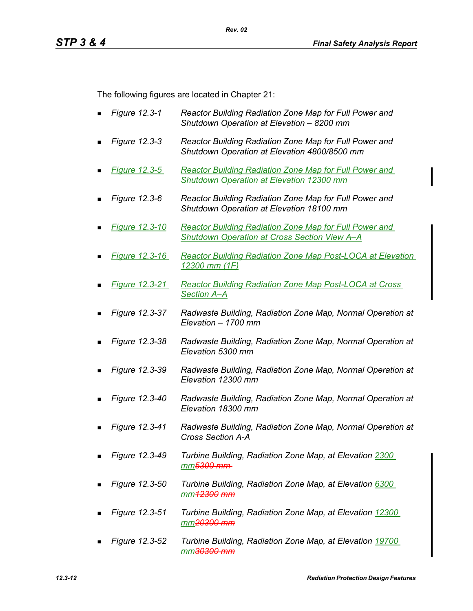The following figures are located in Chapter 21:

- *Figure 12.3-1 Reactor Building Radiation Zone Map for Full Power and Shutdown Operation at Elevation – 8200 mm*
- *Figure 12.3-3 Reactor Building Radiation Zone Map for Full Power and Shutdown Operation at Elevation 4800/8500 mm*
- *Figure 12.3-5 Reactor Building Radiation Zone Map for Full Power and Shutdown Operation at Elevation 12300 mm*
- *Figure 12.3-6 Reactor Building Radiation Zone Map for Full Power and Shutdown Operation at Elevation 18100 mm*
- *Figure 12.3-10 Reactor Building Radiation Zone Map for Full Power and Shutdown Operation at Cross Section View A–A*
- *Figure 12.3-16 Reactor Building Radiation Zone Map Post-LOCA at Elevation 12300 mm (1F)*
- *Figure 12.3-21 Reactor Building Radiation Zone Map Post-LOCA at Cross Section A–A*
- *Figure 12.3-37 Radwaste Building, Radiation Zone Map, Normal Operation at Elevation – 1700 mm*
- *Figure 12.3-38 Radwaste Building, Radiation Zone Map, Normal Operation at Elevation 5300 mm*
- *Figure 12.3-39 Radwaste Building, Radiation Zone Map, Normal Operation at Elevation 12300 mm*
- *Figure 12.3-40 Radwaste Building, Radiation Zone Map, Normal Operation at Elevation 18300 mm*
- *Figure 12.3-41 Radwaste Building, Radiation Zone Map, Normal Operation at Cross Section A-A*
- *Figure 12.3-49 Turbine Building, Radiation Zone Map, at Elevation 2300 mm5300 mm*
- *Figure 12.3-50 Turbine Building, Radiation Zone Map, at Elevation 6300 mm12300 mm*
- *Figure 12.3-51 Turbine Building, Radiation Zone Map, at Elevation 12300 mm20300 mm*
- *Figure 12.3-52 Turbine Building, Radiation Zone Map, at Elevation 19700 mm30300 mm*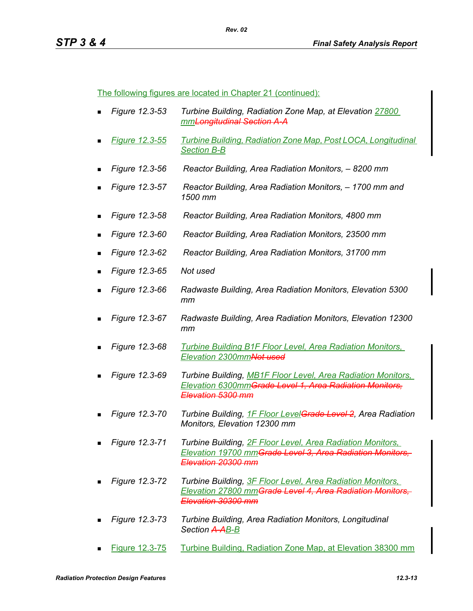The following figures are located in Chapter 21 (continued):

- *Figure 12.3-53 Turbine Building, Radiation Zone Map, at Elevation 27800 mmLongitudinal Section A-A*
- *Figure 12.3-55 Turbine Building, Radiation Zone Map, Post LOCA, Longitudinal Section B-B*
- *Figure 12.3-56 Reactor Building, Area Radiation Monitors, 8200 mm*
- *Figure 12.3-57 Reactor Building, Area Radiation Monitors, 1700 mm and 1500 mm*
- *Figure 12.3-58 Reactor Building, Area Radiation Monitors, 4800 mm*
- *Figure 12.3-60 Reactor Building, Area Radiation Monitors, 23500 mm*
- *Figure 12.3-62 Reactor Building, Area Radiation Monitors, 31700 mm*
- *Figure 12.3-65 Not used*
- *Figure 12.3-66 Radwaste Building, Area Radiation Monitors, Elevation 5300 mm*
- *Figure 12.3-67 Radwaste Building, Area Radiation Monitors, Elevation 12300 mm*
- *Figure 12.3-68 Turbine Building B1F Floor Level, Area Radiation Monitors, Elevation 2300mmNot used*
- *Figure 12.3-69 Turbine Building, MB1F Floor Level, Area Radiation Monitors, Elevation 6300mmGrade Level 1, Area Radiation Monitors, Elevation 5300 mm*
- *Figure 12.3-70 Turbine Building, 1F Floor LevelGrade Level 2, Area Radiation Monitors, Elevation 12300 mm*
- *Figure 12.3-71 Turbine Building, 2F Floor Level, Area Radiation Monitors, Elevation 19700 mmGrade Level 3, Area Radiation Monitors, Elevation 20300 mm*
- *Figure 12.3-72 Turbine Building, 3F Floor Level, Area Radiation Monitors, Elevation 27800 mmGrade Level 4, Area Radiation Monitors, Elevation 30300 mm*
- *Figure 12.3-73 Turbine Building, Area Radiation Monitors, Longitudinal Section A-AB-B*
- Figure 12.3-75 Turbine Building, Radiation Zone Map, at Elevation 38300 mm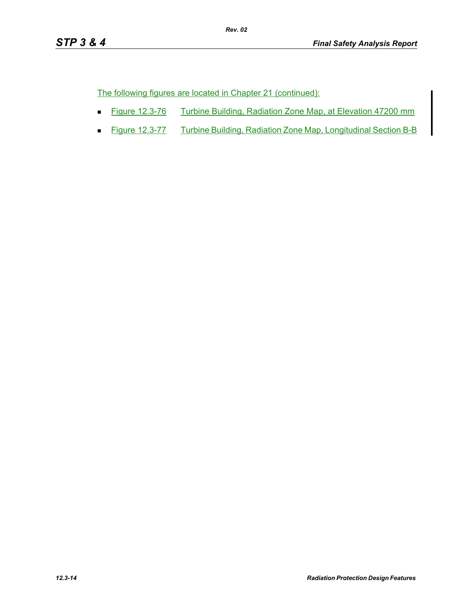The following figures are located in Chapter 21 (continued):

■ Figure 12.3-76 Turbine Building, Radiation Zone Map, at Elevation 47200 mm

*Rev. 02*

■ Figure 12.3-77 Turbine Building, Radiation Zone Map, Longitudinal Section B-B